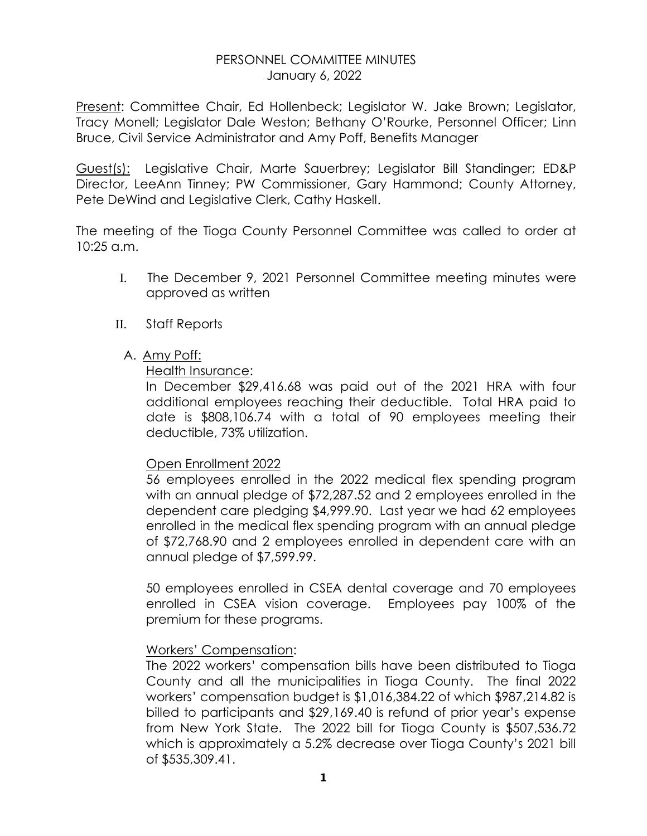### PERSONNEL COMMITTEE MINUTES January 6, 2022

Present: Committee Chair, Ed Hollenbeck; Legislator W. Jake Brown; Legislator, Tracy Monell; Legislator Dale Weston; Bethany O'Rourke, Personnel Officer; Linn Bruce, Civil Service Administrator and Amy Poff, Benefits Manager

Guest(s): Legislative Chair, Marte Sauerbrey; Legislator Bill Standinger; ED&P Director, LeeAnn Tinney; PW Commissioner, Gary Hammond; County Attorney, Pete DeWind and Legislative Clerk, Cathy Haskell.

The meeting of the Tioga County Personnel Committee was called to order at 10:25 a.m.

- I. The December 9, 2021 Personnel Committee meeting minutes were approved as written
- II. Staff Reports
	- A. Amy Poff:

Health Insurance:

In December \$29,416.68 was paid out of the 2021 HRA with four additional employees reaching their deductible. Total HRA paid to date is \$808,106.74 with a total of 90 employees meeting their deductible, 73% utilization.

#### Open Enrollment 2022

56 employees enrolled in the 2022 medical flex spending program with an annual pledge of \$72,287.52 and 2 employees enrolled in the dependent care pledging \$4,999.90. Last year we had 62 employees enrolled in the medical flex spending program with an annual pledge of \$72,768.90 and 2 employees enrolled in dependent care with an annual pledge of \$7,599.99.

50 employees enrolled in CSEA dental coverage and 70 employees enrolled in CSEA vision coverage. Employees pay 100% of the premium for these programs.

## Workers' Compensation:

The 2022 workers' compensation bills have been distributed to Tioga County and all the municipalities in Tioga County. The final 2022 workers' compensation budget is \$1,016,384.22 of which \$987,214.82 is billed to participants and \$29,169.40 is refund of prior year's expense from New York State. The 2022 bill for Tioga County is \$507,536.72 which is approximately a 5.2% decrease over Tioga County's 2021 bill of \$535,309.41.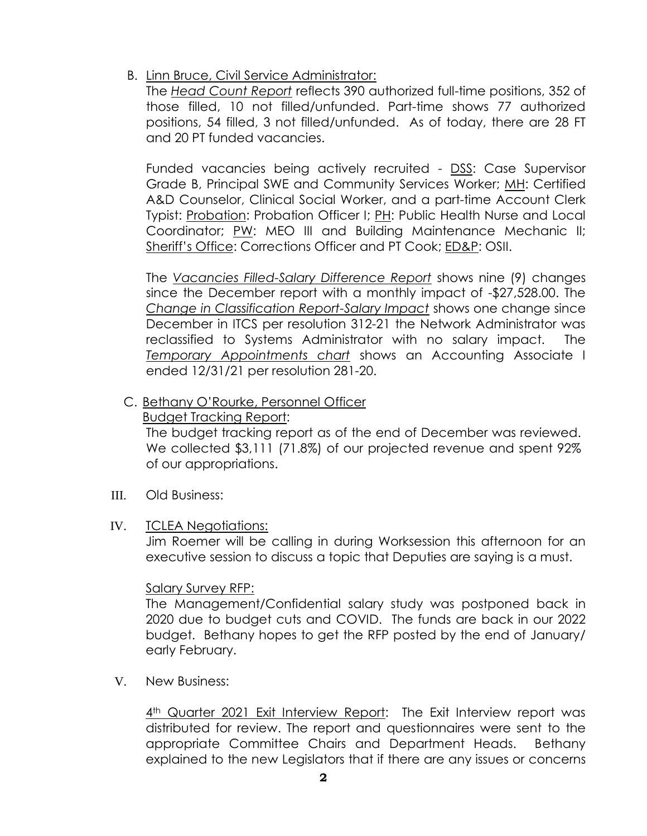B. Linn Bruce, Civil Service Administrator:

The *Head Count Report* reflects 390 authorized full-time positions, 352 of those filled, 10 not filled/unfunded. Part-time shows 77 authorized positions, 54 filled, 3 not filled/unfunded. As of today, there are 28 FT and 20 PT funded vacancies.

Funded vacancies being actively recruited - DSS: Case Supervisor Grade B, Principal SWE and Community Services Worker; MH: Certified A&D Counselor, Clinical Social Worker, and a part-time Account Clerk Typist: Probation: Probation Officer I; PH: Public Health Nurse and Local Coordinator; PW: MEO III and Building Maintenance Mechanic II; Sheriff's Office: Corrections Officer and PT Cook; ED&P: OSII.

The *Vacancies Filled-Salary Difference Report* shows nine (9) changes since the December report with a monthly impact of -\$27,528.00. The *Change in Classification Report-Salary Impact* shows one change since December in ITCS per resolution 312-21 the Network Administrator was reclassified to Systems Administrator with no salary impact. The *Temporary Appointments chart* shows an Accounting Associate I ended 12/31/21 per resolution 281-20.

C. Bethany O'Rourke, Personnel Officer

Budget Tracking Report:

 The budget tracking report as of the end of December was reviewed. We collected \$3,111 (71.8%) of our projected revenue and spent 92% of our appropriations.

- III. Old Business:
- IV. TCLEA Negotiations:

Jim Roemer will be calling in during Worksession this afternoon for an executive session to discuss a topic that Deputies are saying is a must.

#### Salary Survey RFP:

The Management/Confidential salary study was postponed back in 2020 due to budget cuts and COVID. The funds are back in our 2022 budget. Bethany hopes to get the RFP posted by the end of January/ early February.

V. New Business:

4<sup>th</sup> Quarter 2021 Exit Interview Report: The Exit Interview report was distributed for review. The report and questionnaires were sent to the appropriate Committee Chairs and Department Heads. Bethany explained to the new Legislators that if there are any issues or concerns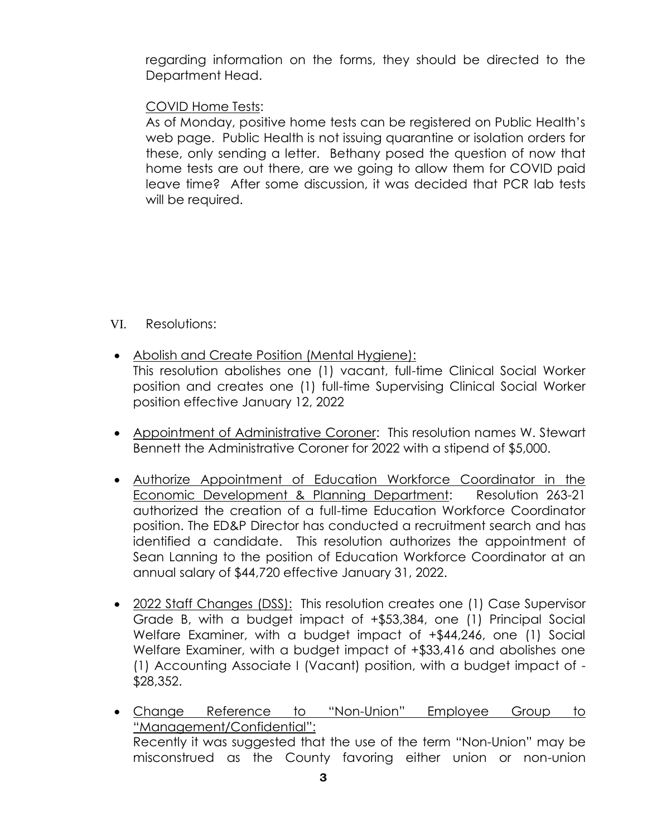regarding information on the forms, they should be directed to the Department Head.

# COVID Home Tests:

As of Monday, positive home tests can be registered on Public Health's web page. Public Health is not issuing quarantine or isolation orders for these, only sending a letter. Bethany posed the question of now that home tests are out there, are we going to allow them for COVID paid leave time? After some discussion, it was decided that PCR lab tests will be required.

## VI. Resolutions:

- Abolish and Create Position (Mental Hygiene): This resolution abolishes one (1) vacant, full-time Clinical Social Worker position and creates one (1) full-time Supervising Clinical Social Worker position effective January 12, 2022
- Appointment of Administrative Coroner: This resolution names W. Stewart Bennett the Administrative Coroner for 2022 with a stipend of \$5,000.
- Authorize Appointment of Education Workforce Coordinator in the Economic Development & Planning Department: Resolution 263-21 authorized the creation of a full-time Education Workforce Coordinator position. The ED&P Director has conducted a recruitment search and has identified a candidate. This resolution authorizes the appointment of Sean Lanning to the position of Education Workforce Coordinator at an annual salary of \$44,720 effective January 31, 2022.
- 2022 Staff Changes (DSS): This resolution creates one (1) Case Supervisor Grade B, with a budget impact of +\$53,384, one (1) Principal Social Welfare Examiner, with a budget impact of +\$44,246, one (1) Social Welfare Examiner, with a budget impact of  $+$ \$33,416 and abolishes one (1) Accounting Associate I (Vacant) position, with a budget impact of - \$28,352.
- Change Reference to "Non-Union" Employee Group to "Management/Confidential": Recently it was suggested that the use of the term "Non-Union" may be misconstrued as the County favoring either union or non-union